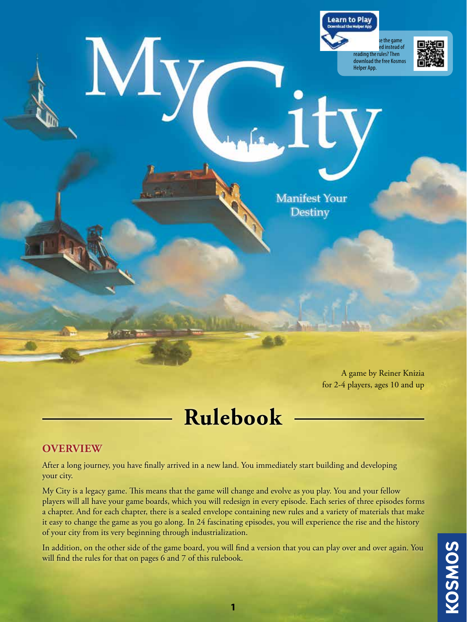

A game by Reiner Knizia for 2-4 players, ages 10 and up

# **Rulebook**

## **OVERVIEW**

After a long journey, you have finally arrived in a new land. You immediately start building and developing your city.

My City is a legacy game. This means that the game will change and evolve as you play. You and your fellow players will all have your game boards, which you will redesign in every episode. Each series of three episodes forms a chapter. And for each chapter, there is a sealed envelope containing new rules and a variety of materials that make it easy to change the game as you go along. In 24 fascinating episodes, you will experience the rise and the history of your city from its very beginning through industrialization.

In addition, on the other side of the game board, you will find a version that you can play over and over again. You will find the rules for that on pages 6 and 7 of this rulebook.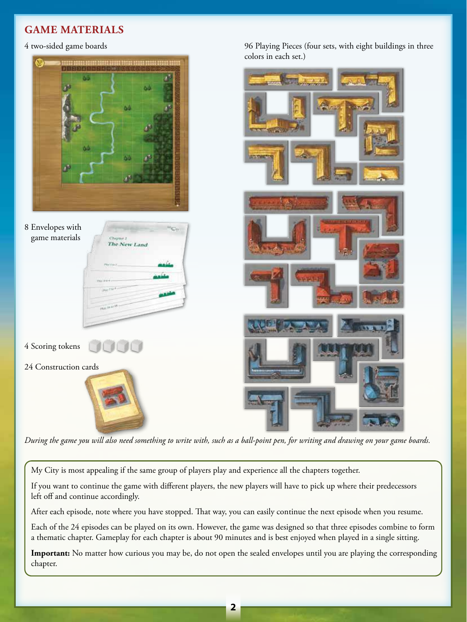# **GAME MATERIALS**

#### 4 two-sided game boards



96 Playing Pieces (four sets, with eight buildings in three

*During the game you will also need something to write with, such as a ball-point pen, for writing and drawing on your game boards.*

My City is most appealing if the same group of players play and experience all the chapters together.

If you want to continue the game with different players, the new players will have to pick up where their predecessors left off and continue accordingly.

After each episode, note where you have stopped. That way, you can easily continue the next episode when you resume.

Each of the 24 episodes can be played on its own. However, the game was designed so that three episodes combine to form a thematic chapter. Gameplay for each chapter is about 90 minutes and is best enjoyed when played in a single sitting.

**Important:** No matter how curious you may be, do not open the sealed envelopes until you are playing the corresponding chapter.

**2**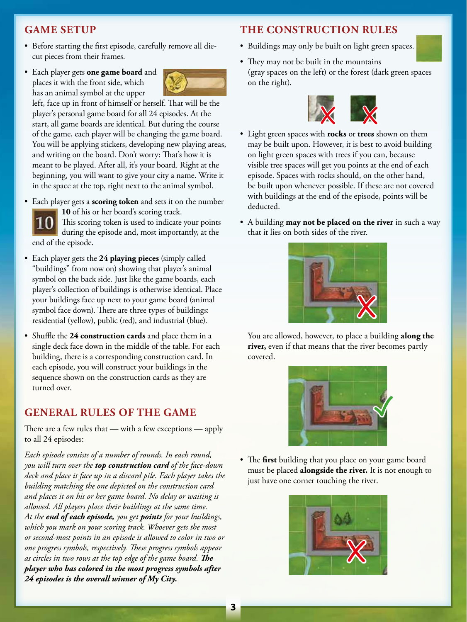## **GAME SETUP**

- Before starting the first episode, carefully remove all diecut pieces from their frames.
- Each player gets **one game board** and places it with the front side, which has an animal symbol at the upper



left, face up in front of himself or herself. That will be the player's personal game board for all 24 episodes. At the start, all game boards are identical. But during the course of the game, each player will be changing the game board. You will be applying stickers, developing new playing areas, and writing on the board. Don't worry: That's how it is meant to be played. After all, it's your board. Right at the beginning, you will want to give your city a name. Write it in the space at the top, right next to the animal symbol.

• Each player gets a **scoring token** and sets it on the number **10** of his or her board's scoring track. This scoring token is used to indicate your points

during the episode and, most importantly, at the end of the episode.

- Each player gets the **24 playing pieces** (simply called "buildings" from now on) showing that player's animal symbol on the back side. Just like the game boards, each player's collection of buildings is otherwise identical. Place your buildings face up next to your game board (animal symbol face down). There are three types of buildings: residential (yellow), public (red), and industrial (blue).
- Shuffle the **24 construction cards** and place them in a single deck face down in the middle of the table. For each building, there is a corresponding construction card. In each episode, you will construct your buildings in the sequence shown on the construction cards as they are turned over.

## **GENERAL RULES OF THE GAME**

There are a few rules that — with a few exceptions — apply to all 24 episodes:

*Each episode consists of a number of rounds. In each round, you will turn over the top construction card of the face-down deck and place it face up in a discard pile. Each player takes the building matching the one depicted on the construction card and places it on his or her game board. No delay or waiting is allowed. All players place their buildings at the same time. At the end of each episode, you get points for your buildings, which you mark on your scoring track. Whoever gets the most or second-most points in an episode is allowed to color in two or one progress symbols, respectively. These progress symbols appear as circles in two rows at the top edge of the game board. The player who has colored in the most progress symbols after 24 episodes is the overall winner of My City.*

## **THE CONSTRUCTION RULES**

- Buildings may only be built on light green spaces.
- They may not be built in the mountains (gray spaces on the left) or the forest (dark green spaces on the right).



- Light green spaces with **rocks** or **trees** shown on them may be built upon. However, it is best to avoid building on light green spaces with trees if you can, because visible tree spaces will get you points at the end of each episode. Spaces with rocks should, on the other hand, be built upon whenever possible. If these are not covered with buildings at the end of the episode, points will be deducted.
- A building **may not be placed on the river** in such a way that it lies on both sides of the river.



 You are allowed, however, to place a building **along the river,** even if that means that the river becomes partly covered.



• The **first** building that you place on your game board must be placed **alongside the river.** It is not enough to just have one corner touching the river.

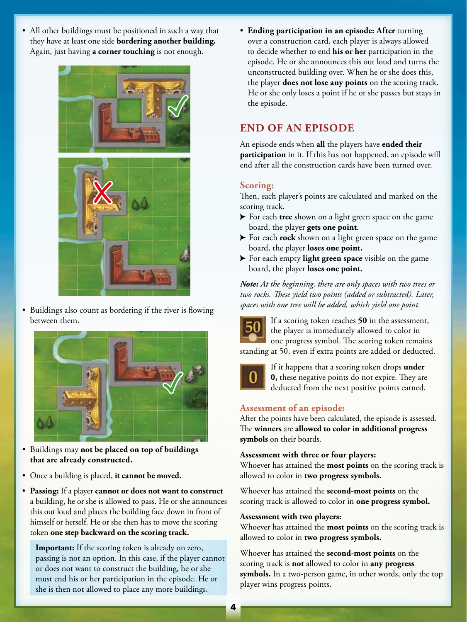• All other buildings must be positioned in such a way that they have at least one side **bordering another building.** Again, just having **a corner touching** is not enough.



• Buildings also count as bordering if the river is flowing between them.



- Buildings may **not be placed on top of buildings that are already constructed.**
- Once a building is placed, **it cannot be moved.**
- **Passing:** If a player **cannot or does not want to construct**  a building, he or she is allowed to pass. He or she announces this out loud and places the building face down in front of himself or herself. He or she then has to move the scoring token **one step backward on the scoring track.**

**Important:** If the scoring token is already on zero, passing is not an option. In this case, if the player cannot or does not want to construct the building, he or she must end his or her participation in the episode. He or she is then not allowed to place any more buildings.

• **Ending participation in an episode: After** turning over a construction card, each player is always allowed to decide whether to end **his or her** participation in the episode. He or she announces this out loud and turns the unconstructed building over. When he or she does this, the player **does not lose any points** on the scoring track. He or she only loses a point if he or she passes but stays in the episode.

## **END OF AN EPISODE**

An episode ends when **all** the players have **ended their participation** in it. If this has not happened, an episode will end after all the construction cards have been turned over.

## **Scoring:**

Then, each player's points are calculated and marked on the scoring track.

- For each **tree** shown on a light green space on the game board, the player **gets one point**.
- For each **rock** shown on a light green space on the game board, the player **loses one point.**
- For each empty **light green space** visible on the game board, the player **loses one point.**

*Note: At the beginning, there are only spaces with two trees or two rocks. These yield two points (added or subtracted). Later, spaces with one tree will be added, which yield one point.*



If a scoring token reaches **50** in the assessment, the player is immediately allowed to color in one progress symbol. The scoring token remains standing at 50, even if extra points are added or deducted.



If it happens that a scoring token drops **under 0,** these negative points do not expire. They are deducted from the next positive points earned.

## **Assessment of an episode:**

After the points have been calculated, the episode is assessed. The **winners** are **allowed to color in additional progress symbols** on their boards.

#### **Assessment with three or four players:**

Whoever has attained the **most points** on the scoring track is allowed to color in **two progress symbols.**

Whoever has attained the **second-most points** on the scoring track is allowed to color in **one progress symbol.**

#### **Assessment with two players:**

Whoever has attained the **most points** on the scoring track is allowed to color in **two progress symbols.**

Whoever has attained the **second-most points** on the scoring track is **not** allowed to color in **any progress symbols.** In a two-person game, in other words, only the top player wins progress points.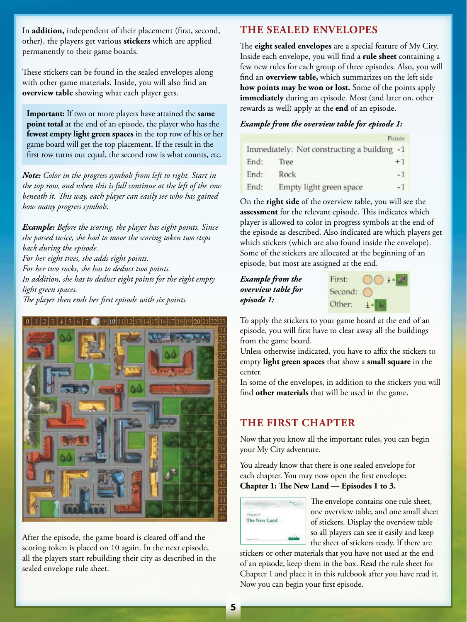In **addition,** independent of their placement (first, second, other), the players get various **stickers** which are applied permanently to their game boards.

These stickers can be found in the sealed envelopes along with other game materials. Inside, you will also find an **overview table** showing what each player gets.

**Important:** If two or more players have attained the **same point total** at the end of an episode, the player who has the **fewest empty light green spaces** in the top row of his or her game board will get the top placement. If the result in the first row turns out equal, the second row is what counts, etc.

*Note: Color in the progress symbols from left to right. Start in the top row, and when this is full continue at the left of the row beneath it. This way, each player can easily see who has gained how many progress symbols.* 

*Example: Before the scoring, the player has eight points. Since she passed twice, she had to move the scoring token two steps back during the episode. For her eight trees, she adds eight points. For her two rocks, she has to deduct two points. In addition, she has to deduct eight points for the eight empty light green spaces.* 

*The player then ends her first episode with six points.*



After the episode, the game board is cleared off and the scoring token is placed on 10 again. In the next episode, all the players start rebuilding their city as described in the sealed envelope rule sheet.

## **THE SEALED ENVELOPES**

The **eight sealed envelopes** are a special feature of My City. Inside each envelope, you will find a **rule sheet** containing a few new rules for each group of three episodes. Also, you will find an **overview table,** which summarizes on the left side **how points may be won or lost.** Some of the points apply **immediately** during an episode. Most (and later on, other rewards as well) apply at the **end** of an episode.

#### *Example from the overview table for episode 1:*

|      |                                             | Points |
|------|---------------------------------------------|--------|
|      | Immediately: Not constructing a building -1 |        |
| End: | Tree                                        | $+1$   |
| End: | Rock                                        | - 1    |
| End: | Empty light green space                     | $-1$   |

On the **right side** of the overview table, you will see the **assessment** for the relevant episode. This indicates which player is allowed to color in progress symbols at the end of the episode as described. Also indicated are which players get which stickers (which are also found inside the envelope). Some of the stickers are allocated at the beginning of an episode, but most are assigned at the end.

*Example from the overview table for episode 1:*



To apply the stickers to your game board at the end of an episode, you will first have to clear away all the buildings from the game board.

Unless otherwise indicated, you have to affix the stickers to empty **light green spaces** that show a **small square** in the center.

In some of the envelopes, in addition to the stickers you will find **other materials** that will be used in the game.

## **THE FIRST CHAPTER**

Now that you know all the important rules, you can begin your My City adventure.

You already know that there is one sealed envelope for each chapter. You may now open the first envelope: **Chapter 1: The New Land — Episodes 1 to 3.**



The envelope contains one rule sheet, one overview table, and one small sheet of stickers. Display the overview table so all players can see it easily and keep the sheet of stickers ready. If there are

stickers or other materials that you have not used at the end of an episode, keep them in the box. Read the rule sheet for Chapter 1 and place it in this rulebook after you have read it. Now you can begin your first episode.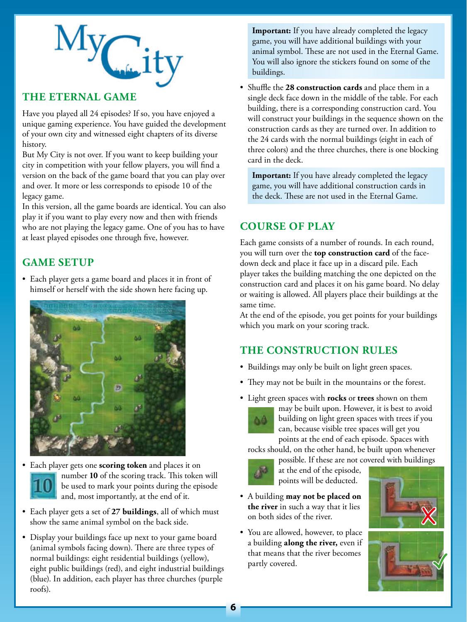

## **THE ETERNAL GAME**

Have you played all 24 episodes? If so, you have enjoyed a unique gaming experience. You have guided the development of your own city and witnessed eight chapters of its diverse history.

But My City is not over. If you want to keep building your city in competition with your fellow players, you will find a version on the back of the game board that you can play over and over. It more or less corresponds to episode 10 of the legacy game.

In this version, all the game boards are identical. You can also play it if you want to play every now and then with friends who are not playing the legacy game. One of you has to have at least played episodes one through five, however.

# **GAME SETUP**

• Each player gets a game board and places it in front of himself or herself with the side shown here facing up.





- Each player gets a set of **27 buildings**, all of which must show the same animal symbol on the back side.
- Display your buildings face up next to your game board (animal symbols facing down). There are three types of normal buildings: eight residential buildings (yellow), eight public buildings (red), and eight industrial buildings (blue). In addition, each player has three churches (purple roofs).

**Important:** If you have already completed the legacy game, you will have additional buildings with your animal symbol. These are not used in the Eternal Game. You will also ignore the stickers found on some of the buildings.

• Shuffle the **28 construction cards** and place them in a single deck face down in the middle of the table. For each building, there is a corresponding construction card. You will construct your buildings in the sequence shown on the construction cards as they are turned over. In addition to the 24 cards with the normal buildings (eight in each of three colors) and the three churches, there is one blocking card in the deck.

**Important:** If you have already completed the legacy game, you will have additional construction cards in the deck. These are not used in the Eternal Game.

## **COURSE OF PLAY**

Each game consists of a number of rounds. In each round, you will turn over the **top construction card** of the facedown deck and place it face up in a discard pile. Each player takes the building matching the one depicted on the construction card and places it on his game board. No delay or waiting is allowed. All players place their buildings at the same time.

At the end of the episode, you get points for your buildings which you mark on your scoring track.

# **THE CONSTRUCTION RULES**

- Buildings may only be built on light green spaces.
- They may not be built in the mountains or the forest.
- Light green spaces with **rocks** or **trees** shown on them



may be built upon. However, it is best to avoid building on light green spaces with trees if you can, because visible tree spaces will get you points at the end of each episode. Spaces with

rocks should, on the other hand, be built upon whenever

possible. If these are not covered with buildings at the end of the episode, points will be deducted.

- A building **may not be placed on the river** in such a way that it lies on both sides of the river.
- You are allowed, however, to place a building **along the river,** even if that means that the river becomes partly covered.



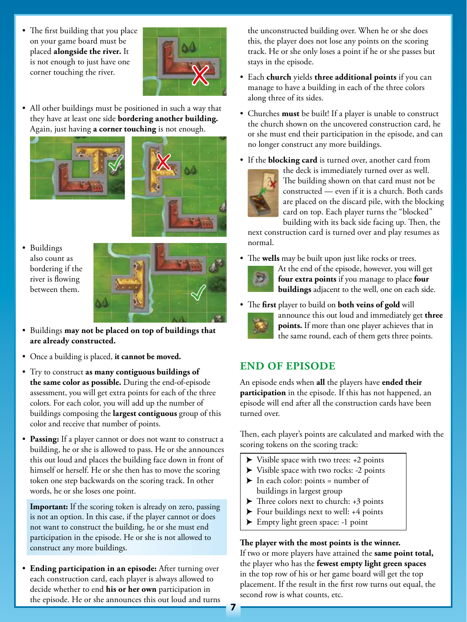The first building that you place on your game board must be placed **alongside the river.** It is not enough to just have one corner touching the river.



• All other buildings must be positioned in such a way that they have at least one side **bordering another building.** Again, just having **a corner touching** is not enough.





• Buildings also count as bordering if the river is flowing between them.



- Buildings **may not be placed on top of buildings that are already constructed.**
- Once a building is placed, **it cannot be moved.**
- Try to construct **as many contiguous buildings of the same color as possible.** During the end-of-episode assessment, you will get extra points for each of the three colors. For each color, you will add up the number of buildings composing the **largest contiguous** group of this color and receive that number of points.
- **Passing:** If a player cannot or does not want to construct a building, he or she is allowed to pass. He or she announces this out loud and places the building face down in front of himself or herself. He or she then has to move the scoring token one step backwards on the scoring track. In other words, he or she loses one point.

**Important:** If the scoring token is already on zero, passing is not an option. In this case, if the player cannot or does not want to construct the building, he or she must end participation in the episode. He or she is not allowed to construct any more buildings.

• **Ending participation in an episode:** After turning over each construction card, each player is always allowed to decide whether to end **his or her own** participation in the episode. He or she announces this out loud and turns the unconstructed building over. When he or she does this, the player does not lose any points on the scoring track. He or she only loses a point if he or she passes but stays in the episode.

- Each **church** yields **three additional points** if you can manage to have a building in each of the three colors along three of its sides.
- Churches **must** be built! If a player is unable to construct the church shown on the uncovered construction card, he or she must end their participation in the episode, and can no longer construct any more buildings.
- If the **blocking card** is turned over, another card from



the deck is immediately turned over as well. The building shown on that card must not be constructed — even if it is a church. Both cards are placed on the discard pile, with the blocking card on top. Each player turns the "blocked" building with its back side facing up. Then, the

next construction card is turned over and play resumes as normal.

• The **wells** may be built upon just like rocks or trees.



At the end of the episode, however, you will get **four extra points** if you manage to place **four buildings** adjacent to the well, one on each side.

• The **first** player to build on **both veins of gold** will announce this out loud and immediately get **three points.** If more than one player achieves that in



the same round, each of them gets three points.

# **END OF EPISODE**

An episode ends when **all** the players have **ended their participation** in the episode. If this has not happened, an episode will end after all the construction cards have been turned over.

Then, each player's points are calculated and marked with the scoring tokens on the scoring track:

- $\blacktriangleright$  Visible space with two trees: +2 points
- $\blacktriangleright$  Visible space with two rocks: -2 points
- $\blacktriangleright$  In each color: points = number of buildings in largest group
- $\blacktriangleright$  Three colors next to church: +3 points
- $\blacktriangleright$  Four buildings next to well: +4 points
- $\blacktriangleright$  Empty light green space: -1 point

## **The player with the most points is the winner.**

If two or more players have attained the **same point total,**  the player who has the **fewest empty light green spaces**  in the top row of his or her game board will get the top placement. If the result in the first row turns out equal, the second row is what counts, etc.